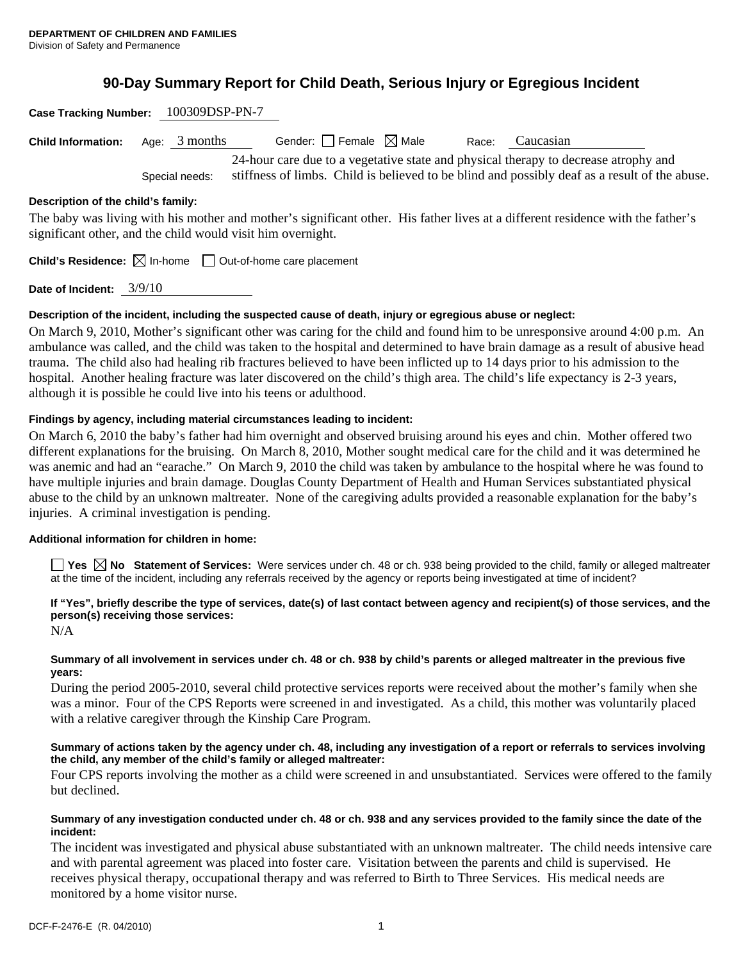# **90-Day Summary Report for Child Death, Serious Injury or Egregious Incident**

| Case Tracking Number: 100309DSP-PN-7 |                                                                                                                                                                                                        |                                                                                 |  |       |                                                                                                                                 |
|--------------------------------------|--------------------------------------------------------------------------------------------------------------------------------------------------------------------------------------------------------|---------------------------------------------------------------------------------|--|-------|---------------------------------------------------------------------------------------------------------------------------------|
| <b>Child Information:</b>            | Age: $3$ months                                                                                                                                                                                        | Gender: $\Box$ Female $\boxtimes$ Male                                          |  | Race: | Caucasian                                                                                                                       |
|                                      | 24-hour care due to a vegetative state and physical therapy to decrease atrophy and<br>stiffness of limbs. Child is believed to be blind and possibly deaf as a result of the abuse.<br>Special needs: |                                                                                 |  |       |                                                                                                                                 |
| Description of the child's family:   |                                                                                                                                                                                                        |                                                                                 |  |       |                                                                                                                                 |
|                                      |                                                                                                                                                                                                        | significant other, and the child would visit him overnight.                     |  |       | The baby was living with his mother and mother's significant other. His father lives at a different residence with the father's |
|                                      |                                                                                                                                                                                                        | <b>Child's Residence:</b> $\boxtimes$ In-home $\Box$ Out-of-home care placement |  |       |                                                                                                                                 |
| Date of Incident:                    | 3/9/10                                                                                                                                                                                                 |                                                                                 |  |       |                                                                                                                                 |

**Description of the incident, including the suspected cause of death, injury or egregious abuse or neglect:** 

On March 9, 2010, Mother's significant other was caring for the child and found him to be unresponsive around 4:00 p.m. An ambulance was called, and the child was taken to the hospital and determined to have brain damage as a result of abusive head trauma. The child also had healing rib fractures believed to have been inflicted up to 14 days prior to his admission to the hospital. Another healing fracture was later discovered on the child's thigh area. The child's life expectancy is 2-3 years, although it is possible he could live into his teens or adulthood.

## **Findings by agency, including material circumstances leading to incident:**

On March 6, 2010 the baby's father had him overnight and observed bruising around his eyes and chin. Mother offered two different explanations for the bruising. On March 8, 2010, Mother sought medical care for the child and it was determined he was anemic and had an "earache." On March 9, 2010 the child was taken by ambulance to the hospital where he was found to have multiple injuries and brain damage. Douglas County Department of Health and Human Services substantiated physical abuse to the child by an unknown maltreater. None of the caregiving adults provided a reasonable explanation for the baby's injuries. A criminal investigation is pending.

## **Additional information for children in home:**

**Yes No Statement of Services:** Were services under ch. 48 or ch. 938 being provided to the child, family or alleged maltreater at the time of the incident, including any referrals received by the agency or reports being investigated at time of incident?

# **If "Yes", briefly describe the type of services, date(s) of last contact between agency and recipient(s) of those services, and the person(s) receiving those services:**

 $N/A$ 

## **Summary of all involvement in services under ch. 48 or ch. 938 by child's parents or alleged maltreater in the previous five years:**

During the period 2005-2010, several child protective services reports were received about the mother's family when she was a minor. Four of the CPS Reports were screened in and investigated. As a child, this mother was voluntarily placed with a relative caregiver through the Kinship Care Program.

## **Summary of actions taken by the agency under ch. 48, including any investigation of a report or referrals to services involving the child, any member of the child's family or alleged maltreater:**

Four CPS reports involving the mother as a child were screened in and unsubstantiated. Services were offered to the family but declined.

## **Summary of any investigation conducted under ch. 48 or ch. 938 and any services provided to the family since the date of the incident:**

The incident was investigated and physical abuse substantiated with an unknown maltreater. The child needs intensive care and with parental agreement was placed into foster care. Visitation between the parents and child is supervised. He receives physical therapy, occupational therapy and was referred to Birth to Three Services. His medical needs are monitored by a home visitor nurse.